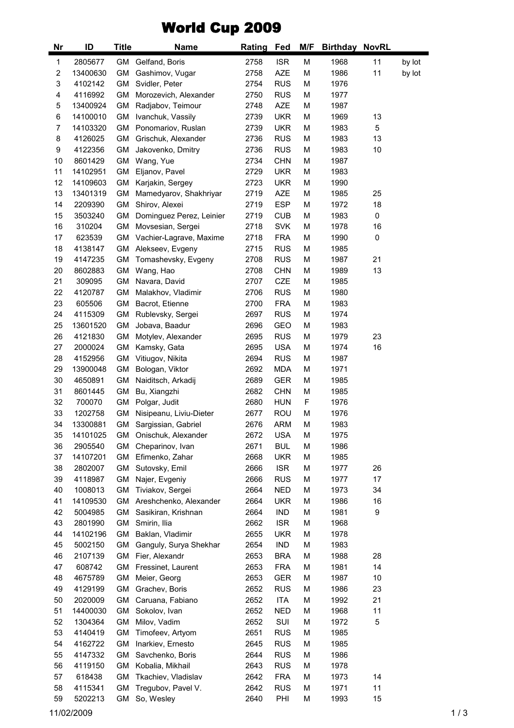## World Cup 2009

| <b>Nr</b> | ID       | <b>Title</b> | <b>Name</b>              | Rating | <b>Fed</b> | M/F | <b>Birthday NovRL</b> |    |        |
|-----------|----------|--------------|--------------------------|--------|------------|-----|-----------------------|----|--------|
| 1         | 2805677  | GM           | Gelfand, Boris           | 2758   | <b>ISR</b> | M   | 1968                  | 11 | by lot |
| 2         | 13400630 | GM           | Gashimov, Vugar          | 2758   | <b>AZE</b> | M   | 1986                  | 11 | by lot |
| 3         | 4102142  | GM           | Svidler, Peter           | 2754   | <b>RUS</b> | М   | 1976                  |    |        |
| 4         | 4116992  | GM           | Morozevich, Alexander    | 2750   | <b>RUS</b> | М   | 1977                  |    |        |
| 5         | 13400924 | GM           | Radjabov, Teimour        | 2748   | <b>AZE</b> | М   | 1987                  |    |        |
| 6         | 14100010 | <b>GM</b>    | Ivanchuk, Vassily        | 2739   | <b>UKR</b> | M   | 1969                  | 13 |        |
| 7         | 14103320 | GM           | Ponomariov, Ruslan       | 2739   | <b>UKR</b> | М   | 1983                  | 5  |        |
| 8         | 4126025  | GM           | Grischuk, Alexander      | 2736   | <b>RUS</b> | М   | 1983                  | 13 |        |
| 9         | 4122356  | GM           | Jakovenko, Dmitry        | 2736   | <b>RUS</b> | М   | 1983                  | 10 |        |
| 10        | 8601429  | GM           | Wang, Yue                | 2734   | <b>CHN</b> | M   | 1987                  |    |        |
| 11        | 14102951 | <b>GM</b>    | Eljanov, Pavel           | 2729   | <b>UKR</b> | М   | 1983                  |    |        |
| 12        | 14109603 | GM           | Karjakin, Sergey         | 2723   | <b>UKR</b> | М   | 1990                  |    |        |
| 13        | 13401319 | GM           | Mamedyarov, Shakhriyar   | 2719   | <b>AZE</b> | М   | 1985                  | 25 |        |
| 14        | 2209390  | GM           | Shirov, Alexei           | 2719   | <b>ESP</b> | М   | 1972                  | 18 |        |
| 15        | 3503240  | GM           | Dominguez Perez, Leinier | 2719   | <b>CUB</b> | M   | 1983                  | 0  |        |
| 16        | 310204   | GM           | Movsesian, Sergei        | 2718   | <b>SVK</b> | М   | 1978                  | 16 |        |
| 17        | 623539   | GM           | Vachier-Lagrave, Maxime  | 2718   | <b>FRA</b> | М   | 1990                  | 0  |        |
| 18        | 4138147  | GM           | Alekseev, Evgeny         | 2715   | <b>RUS</b> | M   | 1985                  |    |        |
| 19        | 4147235  | GM           | Tomashevsky, Evgeny      | 2708   | <b>RUS</b> | М   | 1987                  | 21 |        |
| 20        | 8602883  | GМ           | Wang, Hao                | 2708   | <b>CHN</b> | М   | 1989                  | 13 |        |
| 21        | 309095   | GM           | Navara, David            | 2707   | <b>CZE</b> | М   | 1985                  |    |        |
| 22        | 4120787  | GM           | Malakhov, Vladimir       | 2706   | <b>RUS</b> | М   | 1980                  |    |        |
| 23        | 605506   | GM           | Bacrot, Etienne          | 2700   | <b>FRA</b> | М   | 1983                  |    |        |
| 24        | 4115309  | GM           | Rublevsky, Sergei        | 2697   | <b>RUS</b> | М   | 1974                  |    |        |
| 25        | 13601520 | GM           | Jobava, Baadur           | 2696   | <b>GEO</b> | М   | 1983                  |    |        |
| 26        | 4121830  | GM           | Motylev, Alexander       | 2695   | <b>RUS</b> | М   | 1979                  | 23 |        |
| 27        | 2000024  | <b>GM</b>    | Kamsky, Gata             | 2695   | <b>USA</b> | M   | 1974                  | 16 |        |
| 28        | 4152956  | <b>GM</b>    | Vitiugov, Nikita         | 2694   | <b>RUS</b> | М   | 1987                  |    |        |
| 29        | 13900048 | GМ           | Bologan, Viktor          | 2692   | <b>MDA</b> | М   | 1971                  |    |        |
| 30        | 4650891  | GM           | Naiditsch, Arkadij       | 2689   | <b>GER</b> | М   | 1985                  |    |        |
| 31        | 8601445  | GM           | Bu, Xiangzhi             | 2682   | <b>CHN</b> | М   | 1985                  |    |        |
| 32        | 700070   | <b>GM</b>    | Polgar, Judit            | 2680   | <b>HUN</b> | F   | 1976                  |    |        |
| 33        | 1202758  | <b>GM</b>    | Nisipeanu, Liviu-Dieter  | 2677   | <b>ROU</b> | М   | 1976                  |    |        |
| 34        | 13300881 | GM           | Sargissian, Gabriel      | 2676   | <b>ARM</b> | М   | 1983                  |    |        |
| 35        | 14101025 | GM           | Onischuk, Alexander      | 2672   | <b>USA</b> | М   | 1975                  |    |        |
| 36        | 2905540  | GМ           | Cheparinov, Ivan         | 2671   | <b>BUL</b> | М   | 1986                  |    |        |
| 37        | 14107201 | GM           | Efimenko, Zahar          | 2668   | UKR        | М   | 1985                  |    |        |
| 38        | 2802007  | GM           |                          | 2666   | <b>ISR</b> |     |                       | 26 |        |
|           |          |              | Sutovsky, Emil           |        |            | М   | 1977                  |    |        |
| 39        | 4118987  | GM           | Najer, Evgeniy           | 2666   | <b>RUS</b> | М   | 1977                  | 17 |        |
| 40        | 1008013  | <b>GM</b>    | Tiviakov, Sergei         | 2664   | <b>NED</b> | М   | 1973                  | 34 |        |
| 41        | 14109530 | GM           | Areshchenko, Alexander   | 2664   | UKR        | М   | 1986                  | 16 |        |
| 42        | 5004985  | GМ           | Sasikiran, Krishnan      | 2664   | <b>IND</b> | М   | 1981                  | 9  |        |
| 43        | 2801990  | GM           | Smirin, Ilia             | 2662   | <b>ISR</b> | М   | 1968                  |    |        |
| 44        | 14102196 | GM           | Baklan, Vladimir         | 2655   | UKR        | М   | 1978                  |    |        |
| 45        | 5002150  | GM           | Ganguly, Surya Shekhar   | 2654   | IND        | М   | 1983                  |    |        |
| 46        | 2107139  | GM           | Fier, Alexandr           | 2653   | <b>BRA</b> | М   | 1988                  | 28 |        |
| 47        | 608742   | GМ           | Fressinet, Laurent       | 2653   | <b>FRA</b> | М   | 1981                  | 14 |        |
| 48        | 4675789  | GM           | Meier, Georg             | 2653   | GER        | М   | 1987                  | 10 |        |
| 49        | 4129199  | GM           | Grachev, Boris           | 2652   | <b>RUS</b> | М   | 1986                  | 23 |        |
| 50        | 2020009  | GM           | Caruana, Fabiano         | 2652   | <b>ITA</b> | М   | 1992                  | 21 |        |
| 51        | 14400030 | GM           | Sokolov, Ivan            | 2652   | <b>NED</b> | М   | 1968                  | 11 |        |
| 52        | 1304364  | GM           | Milov, Vadim             | 2652   | SUI        | М   | 1972                  | 5  |        |
| 53        | 4140419  | GM           | Timofeev, Artyom         | 2651   | <b>RUS</b> | М   | 1985                  |    |        |
| 54        | 4162722  | GM           | Inarkiev, Ernesto        | 2645   | <b>RUS</b> | М   | 1985                  |    |        |
| 55        | 4147332  | GМ           | Savchenko, Boris         | 2644   | <b>RUS</b> | М   | 1986                  |    |        |
| 56        | 4119150  | GМ           | Kobalia, Mikhail         | 2643   | <b>RUS</b> | М   | 1978                  |    |        |
| 57        | 618438   | GM           | Tkachiev, Vladislav      | 2642   | <b>FRA</b> | М   | 1973                  | 14 |        |
| 58        | 4115341  | GM           | Tregubov, Pavel V.       | 2642   | <b>RUS</b> | М   | 1971                  | 11 |        |
| 59        | 5202213  | GM           | So, Wesley               | 2640   | PHI        | М   | 1993                  | 15 |        |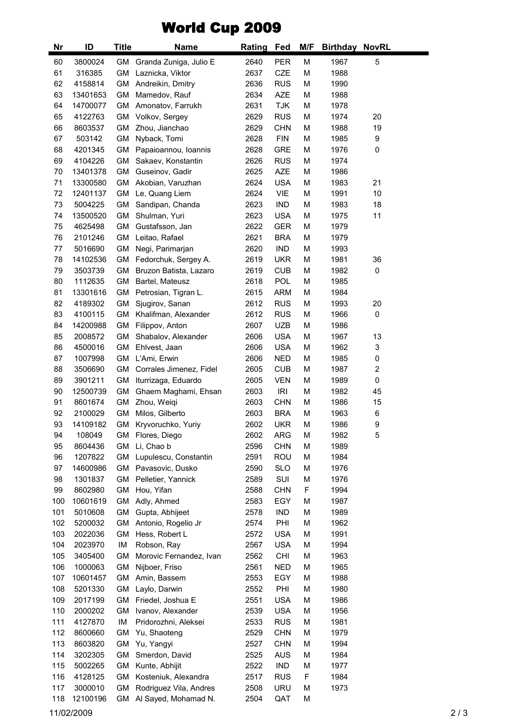## World Cup 2009

| Nr       | ID       | Title     | Name                    | <b>Rating</b> | <u>Fed</u> | M/F    | <b>Birthday NovRL</b> |    |  |
|----------|----------|-----------|-------------------------|---------------|------------|--------|-----------------------|----|--|
| 60       | 3800024  | GM        | Granda Zuniga, Julio E  | 2640          | <b>PER</b> | M      | 1967                  | 5  |  |
| 61       | 316385   | <b>GM</b> | Laznicka, Viktor        | 2637          | CZE        | M      | 1988                  |    |  |
| 62       | 4158814  | GM        | Andreikin, Dmitry       | 2636          | <b>RUS</b> | M      | 1990                  |    |  |
| 63       | 13401653 | GM        | Mamedov, Rauf           | 2634          | <b>AZE</b> | M      | 1988                  |    |  |
| 64       | 14700077 | GM        | Amonatov, Farrukh       | 2631          | <b>TJK</b> | M      | 1978                  |    |  |
| 65       | 4122763  | GM        | Volkov, Sergey          | 2629          | <b>RUS</b> | M      | 1974                  | 20 |  |
| 66       | 8603537  | <b>GM</b> | Zhou, Jianchao          | 2629          | <b>CHN</b> | M      | 1988                  | 19 |  |
| 67       | 503142   | <b>GM</b> | Nyback, Tomi            | 2628          | <b>FIN</b> | M      | 1985                  | 9  |  |
| 68       | 4201345  | GM        | Papaioannou, Ioannis    | 2628          | <b>GRE</b> | M      | 1976                  | 0  |  |
| 69       | 4104226  | GM        | Sakaev, Konstantin      | 2626          | <b>RUS</b> | M      | 1974                  |    |  |
|          |          |           |                         |               | <b>AZE</b> |        |                       |    |  |
| 70<br>71 | 13401378 | GM<br>GM  | Guseinov, Gadir         | 2625<br>2624  | <b>USA</b> | M<br>M | 1986<br>1983          | 21 |  |
|          | 13300580 |           | Akobian, Varuzhan       |               |            |        |                       |    |  |
| 72       | 12401137 | GM        | Le, Quang Liem          | 2624          | <b>VIE</b> | M      | 1991                  | 10 |  |
| 73       | 5004225  | <b>GM</b> | Sandipan, Chanda        | 2623          | <b>IND</b> | M      | 1983                  | 18 |  |
| 74       | 13500520 | <b>GM</b> | Shulman, Yuri           | 2623          | <b>USA</b> | M      | 1975                  | 11 |  |
| 75       | 4625498  | <b>GM</b> | Gustafsson, Jan         | 2622          | GER        | M      | 1979                  |    |  |
| 76       | 2101246  | GM        | Leitao, Rafael          | 2621          | <b>BRA</b> | M      | 1979                  |    |  |
| 77       | 5016690  | <b>GM</b> | Negi, Parimarjan        | 2620          | <b>IND</b> | M      | 1993                  |    |  |
| 78       | 14102536 | <b>GM</b> | Fedorchuk, Sergey A.    | 2619          | <b>UKR</b> | M      | 1981                  | 36 |  |
| 79       | 3503739  | GM        | Bruzon Batista, Lazaro  | 2619          | <b>CUB</b> | M      | 1982                  | 0  |  |
| 80       | 1112635  | GM        | Bartel, Mateusz         | 2618          | <b>POL</b> | M      | 1985                  |    |  |
| 81       | 13301616 | GM        | Petrosian, Tigran L.    | 2615          | <b>ARM</b> | M      | 1984                  |    |  |
| 82       | 4189302  | <b>GM</b> | Sjugirov, Sanan         | 2612          | <b>RUS</b> | M      | 1993                  | 20 |  |
| 83       | 4100115  | GM        | Khalifman, Alexander    | 2612          | <b>RUS</b> | M      | 1966                  | 0  |  |
| 84       | 14200988 | GМ        | Filippov, Anton         | 2607          | <b>UZB</b> | M      | 1986                  |    |  |
| 85       | 2008572  | <b>GM</b> | Shabalov, Alexander     | 2606          | <b>USA</b> | M      | 1967                  | 13 |  |
| 86       | 4500016  | GM        | Ehlvest, Jaan           | 2606          | <b>USA</b> | M      | 1962                  | 3  |  |
| 87       | 1007998  | GM        | L'Ami, Erwin            | 2606          | <b>NED</b> | M      | 1985                  | 0  |  |
| 88       | 3506690  | <b>GM</b> | Corrales Jimenez, Fidel | 2605          | <b>CUB</b> | M      | 1987                  | 2  |  |
| 89       | 3901211  | <b>GM</b> | Iturrizaga, Eduardo     | 2605          | <b>VEN</b> | M      | 1989                  | 0  |  |
| 90       | 12500739 | <b>GM</b> | Ghaem Maghami, Ehsan    | 2603          | <b>IRI</b> | M      | 1982                  | 45 |  |
| 91       | 8601674  | GM        | Zhou, Weiqi             | 2603          | <b>CHN</b> | M      | 1986                  | 15 |  |
| 92       | 2100029  | <b>GM</b> | Milos, Gilberto         | 2603          | <b>BRA</b> | M      | 1963                  | 6  |  |
| 93       | 14109182 | GM        | Kryvoruchko, Yuriy      | 2602          | <b>UKR</b> | M      | 1986                  | 9  |  |
| 94       | 108049   | GМ        | Flores, Diego           | 2602          | ARG        | M      | 1982                  | 5  |  |
| 95       | 8604436  | GM        | Li, Chao b              | 2596          | <b>CHN</b> | M      | 1989                  |    |  |
| 96       | 1207822  | GМ        | Lupulescu, Constantin   | 2591          | <b>ROU</b> | M      | 1984                  |    |  |
| 97       | 14600986 |           | GM Pavasovic, Dusko     | 2590          | <b>SLO</b> | M      | 1976                  |    |  |
| 98       | 1301837  | GМ        | Pelletier, Yannick      | 2589          | SUI        | M      | 1976                  |    |  |
| 99       | 8602980  | GM        | Hou, Yifan              | 2588          | <b>CHN</b> | F      | 1994                  |    |  |
| 100      | 10601619 | <b>GM</b> | Adly, Ahmed             | 2583          | EGY        | M      | 1987                  |    |  |
| 101      | 5010608  | <b>GM</b> | Gupta, Abhijeet         | 2578          | IND        | M      | 1989                  |    |  |
| 102      | 5200032  | <b>GM</b> | Antonio, Rogelio Jr     | 2574          | PHI        | M      | 1962                  |    |  |
| 103      | 2022036  | GM        | Hess, Robert L          | 2572          | <b>USA</b> | M      | 1991                  |    |  |
| 104      | 2023970  | IM        | Robson, Ray             | 2567          | <b>USA</b> | M      | 1994                  |    |  |
| 105      | 3405400  | <b>GM</b> | Morovic Fernandez, Ivan | 2562          | <b>CHI</b> | M      | 1963                  |    |  |
| 106      | 1000063  | GM        | Nijboer, Friso          | 2561          | <b>NED</b> | M      | 1965                  |    |  |
| 107      | 10601457 | GM        | Amin, Bassem            | 2553          | EGY        | M      | 1988                  |    |  |
| 108      | 5201330  | <b>GM</b> | Laylo, Darwin           | 2552          | PHI        | M      | 1980                  |    |  |
| 109      | 2017199  | <b>GM</b> | Friedel, Joshua E       | 2551          | <b>USA</b> | M      | 1986                  |    |  |
| 110      | 2000202  | <b>GM</b> | Ivanov, Alexander       | 2539          | <b>USA</b> | M      | 1956                  |    |  |
| 111      | 4127870  | IM        | Pridorozhni, Aleksei    | 2533          | <b>RUS</b> | M      | 1981                  |    |  |
| 112      | 8600660  | GМ        | Yu, Shaoteng            | 2529          | <b>CHN</b> | M      | 1979                  |    |  |
| 113      | 8603820  | GM        | Yu, Yangyi              | 2527          | <b>CHN</b> | M      | 1994                  |    |  |
| 114      | 3202305  | GM        | Smerdon, David          | 2525          | <b>AUS</b> | M      | 1984                  |    |  |
|          |          |           |                         |               |            |        |                       |    |  |
| 115      | 5002265  | GM        | Kunte, Abhijit          | 2522          | <b>IND</b> | M      | 1977                  |    |  |
| 116      | 4128125  | GM        | Kosteniuk, Alexandra    | 2517          | <b>RUS</b> | F      | 1984                  |    |  |
| 117      | 3000010  | <b>GM</b> | Rodriguez Vila, Andres  | 2508          | URU        | M      | 1973                  |    |  |
| 118      | 12100196 | GМ        | Al Sayed, Mohamad N.    | 2504          | QAT        | M      |                       |    |  |